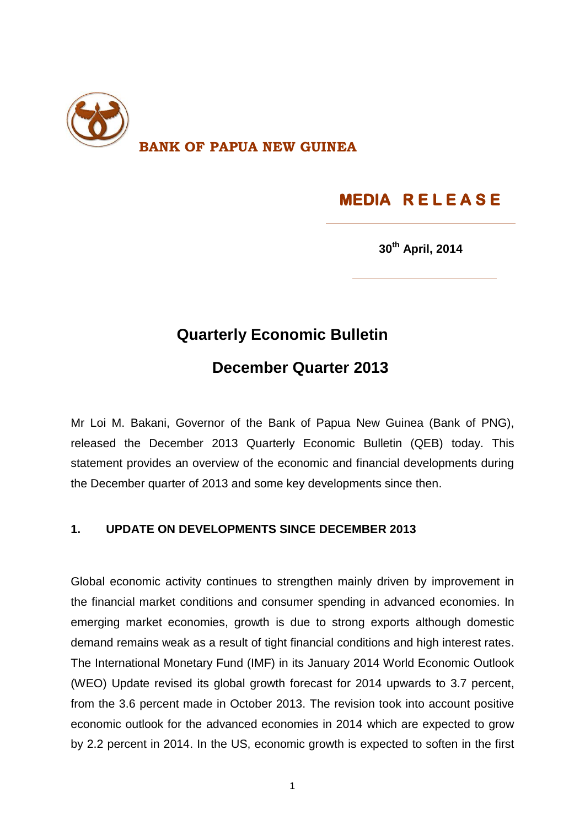

# **MEDIA R E L E A S E**

**30th April, 2014**

### **Quarterly Economic Bulletin**

## **December Quarter 2013**

Mr Loi M. Bakani, Governor of the Bank of Papua New Guinea (Bank of PNG), released the December 2013 Quarterly Economic Bulletin (QEB) today. This statement provides an overview of the economic and financial developments during the December quarter of 2013 and some key developments since then.

#### **1. UPDATE ON DEVELOPMENTS SINCE DECEMBER 2013**

Global economic activity continues to strengthen mainly driven by improvement in the financial market conditions and consumer spending in advanced economies. In emerging market economies, growth is due to strong exports although domestic demand remains weak as a result of tight financial conditions and high interest rates. The International Monetary Fund (IMF) in its January 2014 World Economic Outlook (WEO) Update revised its global growth forecast for 2014 upwards to 3.7 percent, from the 3.6 percent made in October 2013. The revision took into account positive economic outlook for the advanced economies in 2014 which are expected to grow by 2.2 percent in 2014. In the US, economic growth is expected to soften in the first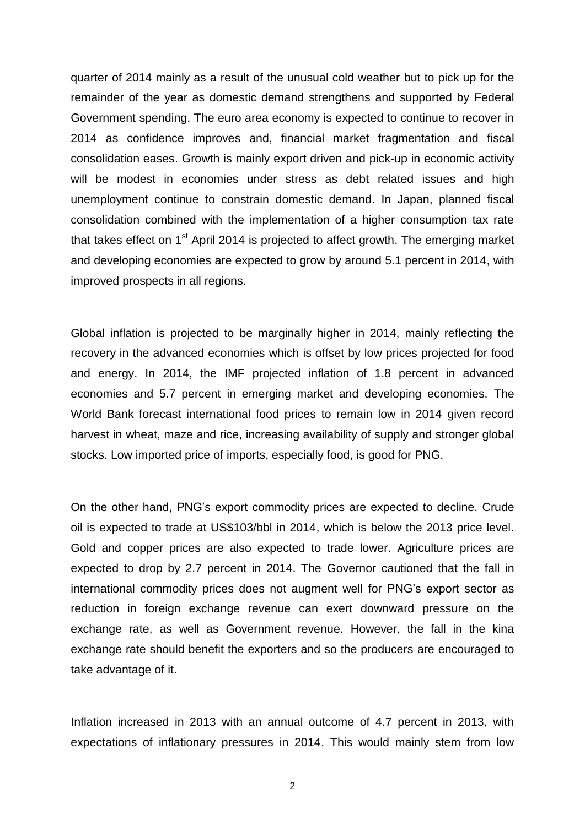quarter of 2014 mainly as a result of the unusual cold weather but to pick up for the remainder of the year as domestic demand strengthens and supported by Federal Government spending. The euro area economy is expected to continue to recover in 2014 as confidence improves and, financial market fragmentation and fiscal consolidation eases. Growth is mainly export driven and pick-up in economic activity will be modest in economies under stress as debt related issues and high unemployment continue to constrain domestic demand. In Japan, planned fiscal consolidation combined with the implementation of a higher consumption tax rate that takes effect on 1<sup>st</sup> April 2014 is projected to affect growth. The emerging market and developing economies are expected to grow by around 5.1 percent in 2014, with improved prospects in all regions.

Global inflation is projected to be marginally higher in 2014, mainly reflecting the recovery in the advanced economies which is offset by low prices projected for food and energy. In 2014, the IMF projected inflation of 1.8 percent in advanced economies and 5.7 percent in emerging market and developing economies. The World Bank forecast international food prices to remain low in 2014 given record harvest in wheat, maze and rice, increasing availability of supply and stronger global stocks. Low imported price of imports, especially food, is good for PNG.

On the other hand, PNG's export commodity prices are expected to decline. Crude oil is expected to trade at US\$103/bbl in 2014, which is below the 2013 price level. Gold and copper prices are also expected to trade lower. Agriculture prices are expected to drop by 2.7 percent in 2014. The Governor cautioned that the fall in international commodity prices does not augment well for PNG's export sector as reduction in foreign exchange revenue can exert downward pressure on the exchange rate, as well as Government revenue. However, the fall in the kina exchange rate should benefit the exporters and so the producers are encouraged to take advantage of it.

Inflation increased in 2013 with an annual outcome of 4.7 percent in 2013, with expectations of inflationary pressures in 2014. This would mainly stem from low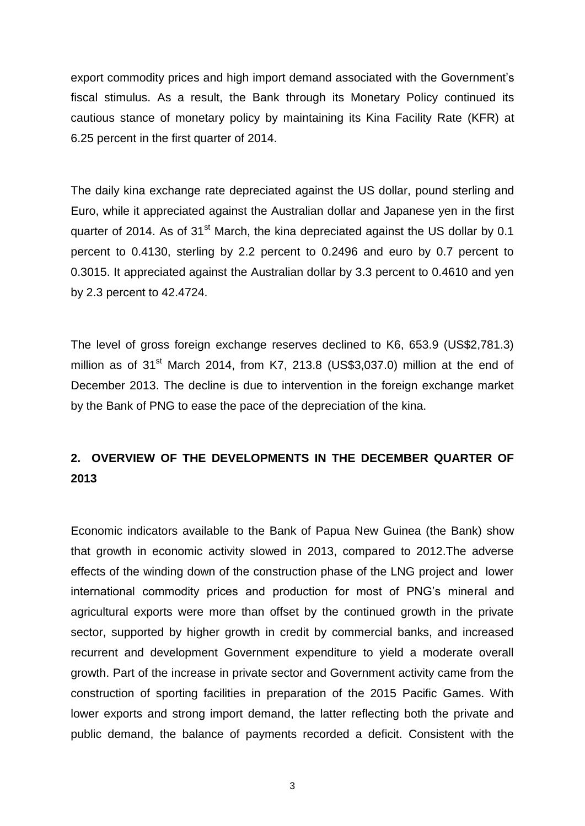export commodity prices and high import demand associated with the Government's fiscal stimulus. As a result, the Bank through its Monetary Policy continued its cautious stance of monetary policy by maintaining its Kina Facility Rate (KFR) at 6.25 percent in the first quarter of 2014.

The daily kina exchange rate depreciated against the US dollar, pound sterling and Euro, while it appreciated against the Australian dollar and Japanese yen in the first quarter of 2014. As of 31<sup>st</sup> March, the kina depreciated against the US dollar by 0.1 percent to 0.4130, sterling by 2.2 percent to 0.2496 and euro by 0.7 percent to 0.3015. It appreciated against the Australian dollar by 3.3 percent to 0.4610 and yen by 2.3 percent to 42.4724.

The level of gross foreign exchange reserves declined to K6, 653.9 (US\$2,781.3) million as of  $31<sup>st</sup>$  March 2014, from K7, 213.8 (US\$3,037.0) million at the end of December 2013. The decline is due to intervention in the foreign exchange market by the Bank of PNG to ease the pace of the depreciation of the kina.

#### **2. OVERVIEW OF THE DEVELOPMENTS IN THE DECEMBER QUARTER OF 2013**

Economic indicators available to the Bank of Papua New Guinea (the Bank) show that growth in economic activity slowed in 2013, compared to 2012.The adverse effects of the winding down of the construction phase of the LNG project and lower international commodity prices and production for most of PNG's mineral and agricultural exports were more than offset by the continued growth in the private sector, supported by higher growth in credit by commercial banks, and increased recurrent and development Government expenditure to yield a moderate overall growth. Part of the increase in private sector and Government activity came from the construction of sporting facilities in preparation of the 2015 Pacific Games. With lower exports and strong import demand, the latter reflecting both the private and public demand, the balance of payments recorded a deficit. Consistent with the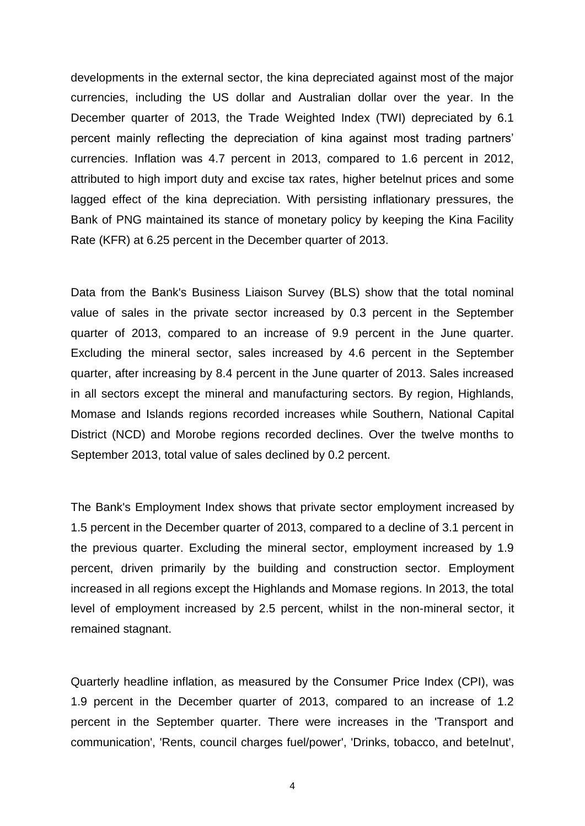developments in the external sector, the kina depreciated against most of the major currencies, including the US dollar and Australian dollar over the year. In the December quarter of 2013, the Trade Weighted Index (TWI) depreciated by 6.1 percent mainly reflecting the depreciation of kina against most trading partners' currencies. Inflation was 4.7 percent in 2013, compared to 1.6 percent in 2012, attributed to high import duty and excise tax rates, higher betelnut prices and some lagged effect of the kina depreciation. With persisting inflationary pressures, the Bank of PNG maintained its stance of monetary policy by keeping the Kina Facility Rate (KFR) at 6.25 percent in the December quarter of 2013.

Data from the Bank's Business Liaison Survey (BLS) show that the total nominal value of sales in the private sector increased by 0.3 percent in the September quarter of 2013, compared to an increase of 9.9 percent in the June quarter. Excluding the mineral sector, sales increased by 4.6 percent in the September quarter, after increasing by 8.4 percent in the June quarter of 2013. Sales increased in all sectors except the mineral and manufacturing sectors. By region, Highlands, Momase and Islands regions recorded increases while Southern, National Capital District (NCD) and Morobe regions recorded declines. Over the twelve months to September 2013, total value of sales declined by 0.2 percent.

The Bank's Employment Index shows that private sector employment increased by 1.5 percent in the December quarter of 2013, compared to a decline of 3.1 percent in the previous quarter. Excluding the mineral sector, employment increased by 1.9 percent, driven primarily by the building and construction sector. Employment increased in all regions except the Highlands and Momase regions. In 2013, the total level of employment increased by 2.5 percent, whilst in the non-mineral sector, it remained stagnant.

Quarterly headline inflation, as measured by the Consumer Price Index (CPI), was 1.9 percent in the December quarter of 2013, compared to an increase of 1.2 percent in the September quarter. There were increases in the 'Transport and communication', 'Rents, council charges fuel/power', 'Drinks, tobacco, and betelnut',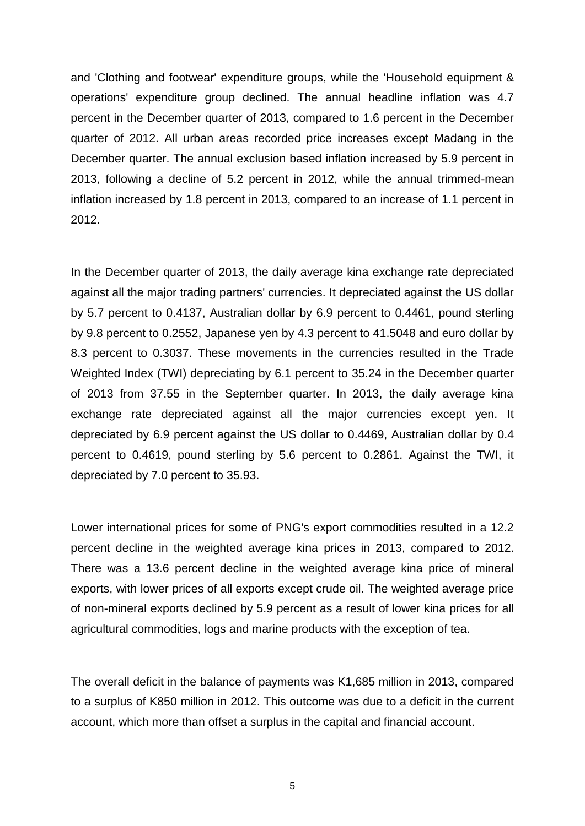and 'Clothing and footwear' expenditure groups, while the 'Household equipment & operations' expenditure group declined. The annual headline inflation was 4.7 percent in the December quarter of 2013, compared to 1.6 percent in the December quarter of 2012. All urban areas recorded price increases except Madang in the December quarter. The annual exclusion based inflation increased by 5.9 percent in 2013, following a decline of 5.2 percent in 2012, while the annual trimmed-mean inflation increased by 1.8 percent in 2013, compared to an increase of 1.1 percent in 2012.

In the December quarter of 2013, the daily average kina exchange rate depreciated against all the major trading partners' currencies. It depreciated against the US dollar by 5.7 percent to 0.4137, Australian dollar by 6.9 percent to 0.4461, pound sterling by 9.8 percent to 0.2552, Japanese yen by 4.3 percent to 41.5048 and euro dollar by 8.3 percent to 0.3037. These movements in the currencies resulted in the Trade Weighted Index (TWI) depreciating by 6.1 percent to 35.24 in the December quarter of 2013 from 37.55 in the September quarter. In 2013, the daily average kina exchange rate depreciated against all the major currencies except yen. It depreciated by 6.9 percent against the US dollar to 0.4469, Australian dollar by 0.4 percent to 0.4619, pound sterling by 5.6 percent to 0.2861. Against the TWI, it depreciated by 7.0 percent to 35.93.

Lower international prices for some of PNG's export commodities resulted in a 12.2 percent decline in the weighted average kina prices in 2013, compared to 2012. There was a 13.6 percent decline in the weighted average kina price of mineral exports, with lower prices of all exports except crude oil. The weighted average price of non-mineral exports declined by 5.9 percent as a result of lower kina prices for all agricultural commodities, logs and marine products with the exception of tea.

The overall deficit in the balance of payments was K1,685 million in 2013, compared to a surplus of K850 million in 2012. This outcome was due to a deficit in the current account, which more than offset a surplus in the capital and financial account.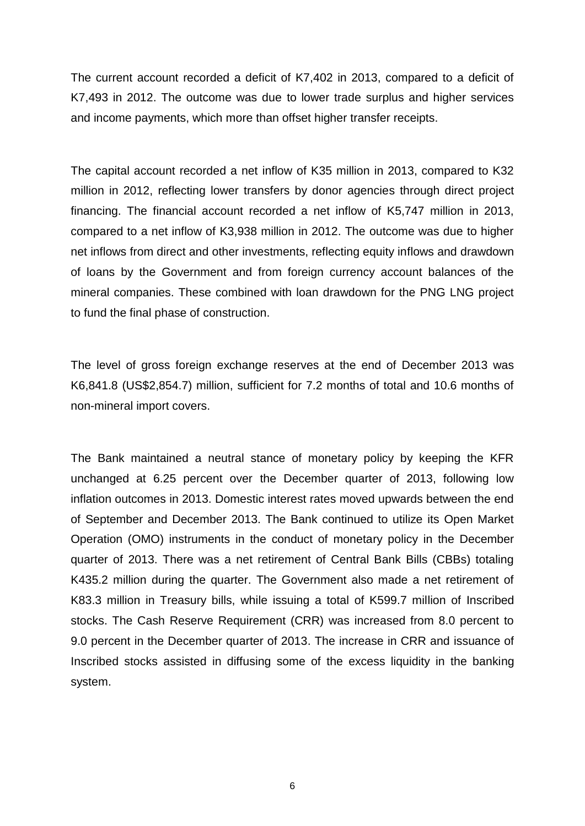The current account recorded a deficit of K7,402 in 2013, compared to a deficit of K7,493 in 2012. The outcome was due to lower trade surplus and higher services and income payments, which more than offset higher transfer receipts.

The capital account recorded a net inflow of K35 million in 2013, compared to K32 million in 2012, reflecting lower transfers by donor agencies through direct project financing. The financial account recorded a net inflow of K5,747 million in 2013, compared to a net inflow of K3,938 million in 2012. The outcome was due to higher net inflows from direct and other investments, reflecting equity inflows and drawdown of loans by the Government and from foreign currency account balances of the mineral companies. These combined with loan drawdown for the PNG LNG project to fund the final phase of construction.

The level of gross foreign exchange reserves at the end of December 2013 was K6,841.8 (US\$2,854.7) million, sufficient for 7.2 months of total and 10.6 months of non-mineral import covers.

The Bank maintained a neutral stance of monetary policy by keeping the KFR unchanged at 6.25 percent over the December quarter of 2013, following low inflation outcomes in 2013. Domestic interest rates moved upwards between the end of September and December 2013. The Bank continued to utilize its Open Market Operation (OMO) instruments in the conduct of monetary policy in the December quarter of 2013. There was a net retirement of Central Bank Bills (CBBs) totaling K435.2 million during the quarter. The Government also made a net retirement of K83.3 million in Treasury bills, while issuing a total of K599.7 million of Inscribed stocks. The Cash Reserve Requirement (CRR) was increased from 8.0 percent to 9.0 percent in the December quarter of 2013. The increase in CRR and issuance of Inscribed stocks assisted in diffusing some of the excess liquidity in the banking system.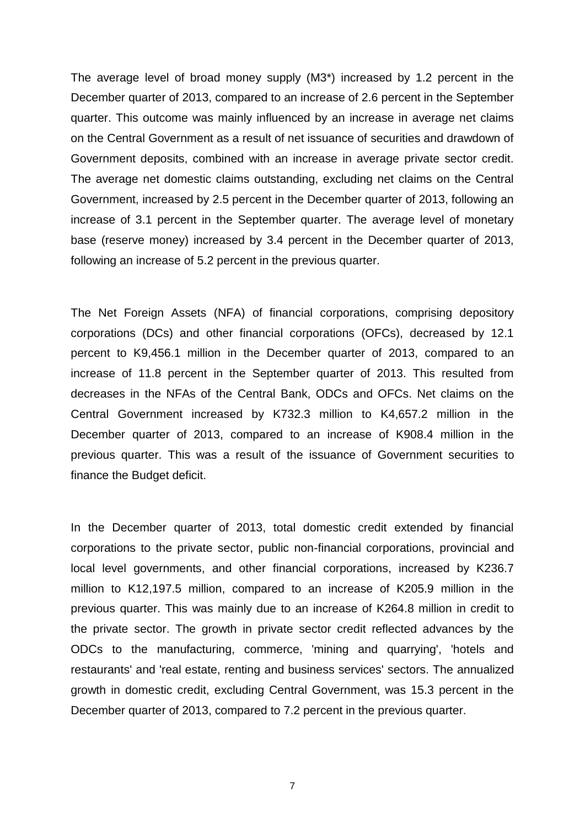The average level of broad money supply (M3\*) increased by 1.2 percent in the December quarter of 2013, compared to an increase of 2.6 percent in the September quarter. This outcome was mainly influenced by an increase in average net claims on the Central Government as a result of net issuance of securities and drawdown of Government deposits, combined with an increase in average private sector credit. The average net domestic claims outstanding, excluding net claims on the Central Government, increased by 2.5 percent in the December quarter of 2013, following an increase of 3.1 percent in the September quarter. The average level of monetary base (reserve money) increased by 3.4 percent in the December quarter of 2013, following an increase of 5.2 percent in the previous quarter.

The Net Foreign Assets (NFA) of financial corporations, comprising depository corporations (DCs) and other financial corporations (OFCs), decreased by 12.1 percent to K9,456.1 million in the December quarter of 2013, compared to an increase of 11.8 percent in the September quarter of 2013. This resulted from decreases in the NFAs of the Central Bank, ODCs and OFCs. Net claims on the Central Government increased by K732.3 million to K4,657.2 million in the December quarter of 2013, compared to an increase of K908.4 million in the previous quarter. This was a result of the issuance of Government securities to finance the Budget deficit.

In the December quarter of 2013, total domestic credit extended by financial corporations to the private sector, public non-financial corporations, provincial and local level governments, and other financial corporations, increased by K236.7 million to K12,197.5 million, compared to an increase of K205.9 million in the previous quarter. This was mainly due to an increase of K264.8 million in credit to the private sector. The growth in private sector credit reflected advances by the ODCs to the manufacturing, commerce, 'mining and quarrying', 'hotels and restaurants' and 'real estate, renting and business services' sectors. The annualized growth in domestic credit, excluding Central Government, was 15.3 percent in the December quarter of 2013, compared to 7.2 percent in the previous quarter.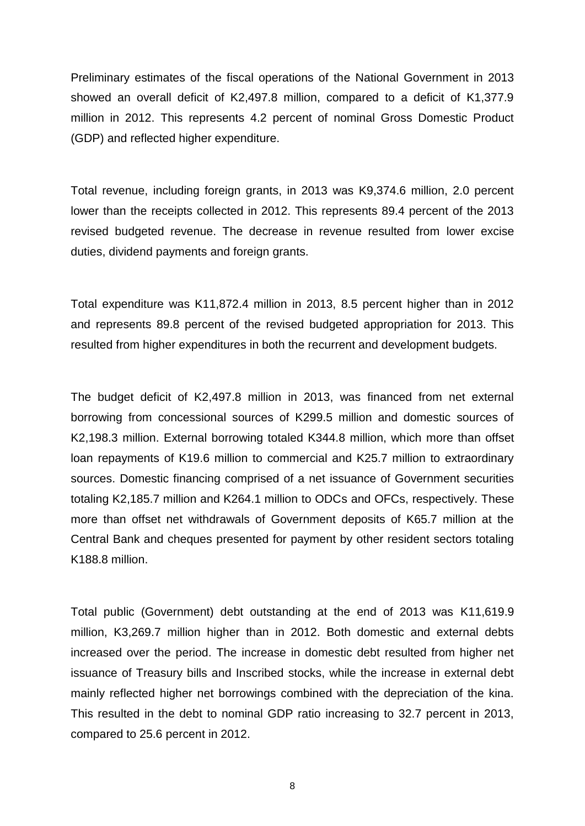Preliminary estimates of the fiscal operations of the National Government in 2013 showed an overall deficit of K2,497.8 million, compared to a deficit of K1,377.9 million in 2012. This represents 4.2 percent of nominal Gross Domestic Product (GDP) and reflected higher expenditure.

Total revenue, including foreign grants, in 2013 was K9,374.6 million, 2.0 percent lower than the receipts collected in 2012. This represents 89.4 percent of the 2013 revised budgeted revenue. The decrease in revenue resulted from lower excise duties, dividend payments and foreign grants.

Total expenditure was K11,872.4 million in 2013, 8.5 percent higher than in 2012 and represents 89.8 percent of the revised budgeted appropriation for 2013. This resulted from higher expenditures in both the recurrent and development budgets.

The budget deficit of K2,497.8 million in 2013, was financed from net external borrowing from concessional sources of K299.5 million and domestic sources of K2,198.3 million. External borrowing totaled K344.8 million, which more than offset loan repayments of K19.6 million to commercial and K25.7 million to extraordinary sources. Domestic financing comprised of a net issuance of Government securities totaling K2,185.7 million and K264.1 million to ODCs and OFCs, respectively. These more than offset net withdrawals of Government deposits of K65.7 million at the Central Bank and cheques presented for payment by other resident sectors totaling K188.8 million.

Total public (Government) debt outstanding at the end of 2013 was K11,619.9 million, K3,269.7 million higher than in 2012. Both domestic and external debts increased over the period. The increase in domestic debt resulted from higher net issuance of Treasury bills and Inscribed stocks, while the increase in external debt mainly reflected higher net borrowings combined with the depreciation of the kina. This resulted in the debt to nominal GDP ratio increasing to 32.7 percent in 2013, compared to 25.6 percent in 2012.